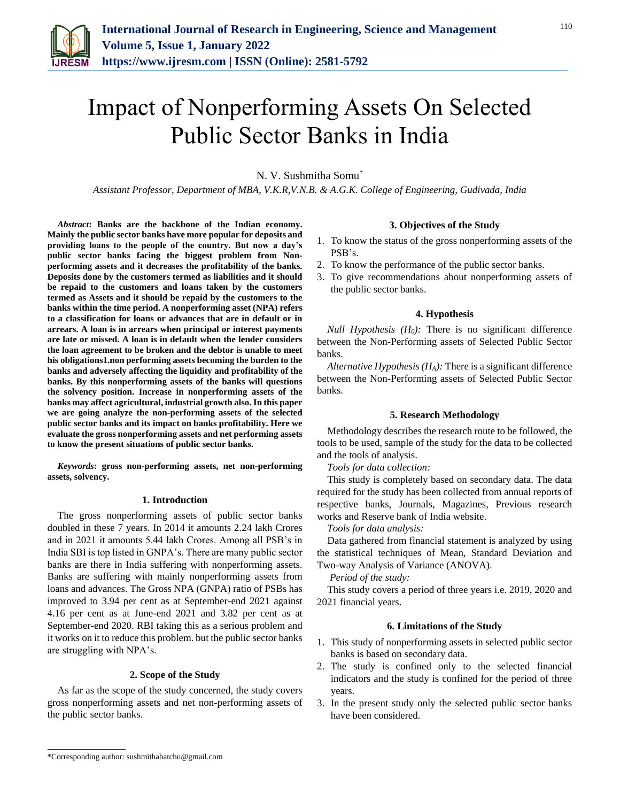

# Impact of Nonperforming Assets On Selected Public Sector Banks in India

N. V. Sushmitha Somu\*

*Assistant Professor, Department of MBA, V.K.R,V.N.B. & A.G.K. College of Engineering, Gudivada, India*

*Abstract***: Banks are the backbone of the Indian economy. Mainly the public sector banks have more popular for deposits and providing loans to the people of the country. But now a day's public sector banks facing the biggest problem from Nonperforming assets and it decreases the profitability of the banks. Deposits done by the customers termed as liabilities and it should be repaid to the customers and loans taken by the customers termed as Assets and it should be repaid by the customers to the banks within the time period. A nonperforming asset (NPA) refers to a classification for loans or advances that are in default or in arrears. A loan is in arrears when principal or interest payments are late or missed. A loan is in default when the lender considers the loan agreement to be broken and the debtor is unable to meet his obligations1.non performing assets becoming the burden to the banks and adversely affecting the liquidity and profitability of the banks. By this nonperforming assets of the banks will questions the solvency position. Increase in nonperforming assets of the banks may affect agricultural, industrial growth also. In this paper we are going analyze the non-performing assets of the selected public sector banks and its impact on banks profitability. Here we evaluate the gross nonperforming assets and net performing assets to know the present situations of public sector banks.**

*Keywords***: gross non-performing assets, net non-performing assets, solvency.**

# **1. Introduction**

The gross nonperforming assets of public sector banks doubled in these 7 years. In 2014 it amounts 2.24 lakh Crores and in 2021 it amounts 5.44 lakh Crores. Among all PSB's in India SBI is top listed in GNPA's. There are many public sector banks are there in India suffering with nonperforming assets. Banks are suffering with mainly nonperforming assets from loans and advances. The Gross NPA (GNPA) ratio of PSBs has improved to 3.94 per cent as at September-end 2021 against 4.16 per cent as at June-end 2021 and 3.82 per cent as at September-end 2020. RBI taking this as a serious problem and it works on it to reduce this problem. but the public sector banks are struggling with NPA's.

# **2. Scope of the Study**

As far as the scope of the study concerned, the study covers gross nonperforming assets and net non-performing assets of the public sector banks.

## **3. Objectives of the Study**

- 1. To know the status of the gross nonperforming assets of the PSB's.
- 2. To know the performance of the public sector banks.
- 3. To give recommendations about nonperforming assets of the public sector banks.

## **4. Hypothesis**

*Null Hypothesis (H0):* There is no significant difference between the Non-Performing assets of Selected Public Sector banks.

*Alternative Hypothesis (HA):* There is a significant difference between the Non-Performing assets of Selected Public Sector banks.

## **5. Research Methodology**

Methodology describes the research route to be followed, the tools to be used, sample of the study for the data to be collected and the tools of analysis.

# *Tools for data collection:*

This study is completely based on secondary data. The data required for the study has been collected from annual reports of respective banks, Journals, Magazines, Previous research works and Reserve bank of India website.

*Tools for data analysis:*

Data gathered from financial statement is analyzed by using the statistical techniques of Mean, Standard Deviation and Two-way Analysis of Variance (ANOVA).

*Period of the study:*

This study covers a period of three years i.e. 2019, 2020 and 2021 financial years.

## **6. Limitations of the Study**

- 1. This study of nonperforming assets in selected public sector banks is based on secondary data.
- 2. The study is confined only to the selected financial indicators and the study is confined for the period of three years.
- 3. In the present study only the selected public sector banks have been considered.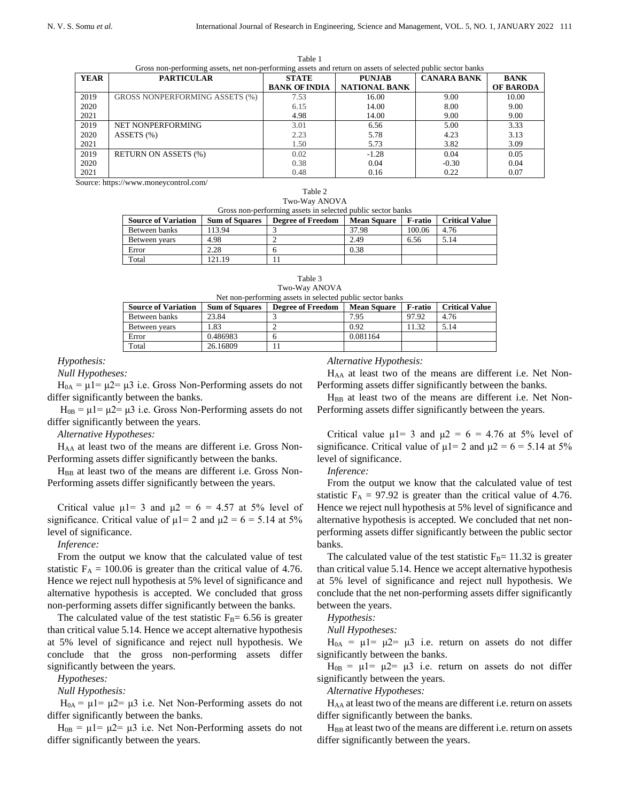| Table 1 |  |
|---------|--|
|         |  |

| Gross non-performing assets, net non-performing assets and return on assets of selected public sector banks |                                       |                      |                      |                    |                  |  |
|-------------------------------------------------------------------------------------------------------------|---------------------------------------|----------------------|----------------------|--------------------|------------------|--|
| <b>YEAR</b>                                                                                                 | <b>PARTICULAR</b>                     | <b>STATE</b>         | <b>PUNJAB</b>        | <b>CANARA BANK</b> | <b>BANK</b>      |  |
|                                                                                                             |                                       | <b>BANK OF INDIA</b> | <b>NATIONAL BANK</b> |                    | <b>OF BARODA</b> |  |
| 2019                                                                                                        | <b>GROSS NONPERFORMING ASSETS (%)</b> | 7.53                 | 16.00                | 9.00               | 10.00            |  |
| 2020                                                                                                        |                                       | 6.15                 | 14.00                | 8.00               | 9.00             |  |
| 2021                                                                                                        |                                       | 4.98                 | 14.00                | 9.00               | 9.00             |  |
| 2019                                                                                                        | NET NONPERFORMING                     | 3.01                 | 6.56                 | 5.00               | 3.33             |  |
| 2020                                                                                                        | ASSETS (%)                            | 2.23                 | 5.78                 | 4.23               | 3.13             |  |
| 2021                                                                                                        |                                       | 1.50                 | 5.73                 | 3.82               | 3.09             |  |
| 2019                                                                                                        | <b>RETURN ON ASSETS (%)</b>           | 0.02                 | $-1.28$              | 0.04               | 0.05             |  |
| 2020                                                                                                        |                                       | 0.38                 | 0.04                 | $-0.30$            | 0.04             |  |
| 2021                                                                                                        |                                       | 0.48                 | 0.16                 | 0.22               | 0.07             |  |

Source: https://www.moneycontrol.com/

| Table 2                                                     |
|-------------------------------------------------------------|
| Two-Way ANOVA                                               |
| Gross non-performing assets in selected public sector banks |

| <b>Source of Variation</b> | <b>Sum of Squares</b> | <b>Degree of Freedom</b> | <b>Mean Square</b> | F-ratio | <b>Critical Value</b> |
|----------------------------|-----------------------|--------------------------|--------------------|---------|-----------------------|
| Between banks              | 13.94                 |                          | 37.98              | 100.06  | 4.76                  |
| Between years              | 4.98                  | -                        | 2.49               | 6.56    | 5.14                  |
| Error                      | 2.28                  |                          | 0.38               |         |                       |
| Total                      | 21.19                 |                          |                    |         |                       |

| Table 3                                                   |
|-----------------------------------------------------------|
| Two-Way ANOVA                                             |
| Net non-performing assets in selected public sector banks |

| <b>Source of Variation</b> | <b>Sum of Squares</b> | <b>Degree of Freedom</b> | <b>Mean Square</b> | F-ratio | <b>Critical Value</b> |
|----------------------------|-----------------------|--------------------------|--------------------|---------|-----------------------|
| Between banks              | 23.84                 |                          | 7.95               | 97.92   | 4.76                  |
| Between years              | .83                   |                          | 0.92               | 11.32   | 5.14                  |
| Error                      | 0.486983              |                          | 0.081164           |         |                       |
| Total                      | 26.16809              |                          |                    |         |                       |

*Hypothesis:*

*Null Hypotheses:*

 $H_{0A} = \mu_1 = \mu_2 = \mu_3$  i.e. Gross Non-Performing assets do not differ significantly between the banks.

 $H_{0B} = \mu_1 = \mu_2 = \mu_3$  i.e. Gross Non-Performing assets do not differ significantly between the years.

*Alternative Hypotheses:*

HAA at least two of the means are different i.e. Gross Non-Performing assets differ significantly between the banks.

H<sub>BB</sub> at least two of the means are different i.e. Gross Non-Performing assets differ significantly between the years.

Critical value  $\mu$ 1= 3 and  $\mu$ 2 = 6 = 4.57 at 5% level of significance. Critical value of  $\mu$ 1= 2 and  $\mu$ 2 = 6 = 5.14 at 5% level of significance.

*Inference:*

From the output we know that the calculated value of test statistic  $F_A = 100.06$  is greater than the critical value of 4.76. Hence we reject null hypothesis at 5% level of significance and alternative hypothesis is accepted. We concluded that gross non-performing assets differ significantly between the banks.

The calculated value of the test statistic  $F_B= 6.56$  is greater than critical value 5.14. Hence we accept alternative hypothesis at 5% level of significance and reject null hypothesis. We conclude that the gross non-performing assets differ significantly between the years.

*Hypotheses:*

*Null Hypothesis:*

H<sub>0A</sub> =  $\mu$ 1 =  $\mu$ 2 =  $\mu$ 3 i.e. Net Non-Performing assets do not differ significantly between the banks.

 $H_{0B} = \mu l = \mu 2 = \mu 3$  i.e. Net Non-Performing assets do not differ significantly between the years.

# *Alternative Hypothesis:*

HAA at least two of the means are different i.e. Net Non-Performing assets differ significantly between the banks.

 $H_{BB}$  at least two of the means are different i.e. Net Non-Performing assets differ significantly between the years.

Critical value  $\mu$ 1= 3 and  $\mu$ 2 = 6 = 4.76 at 5% level of significance. Critical value of  $\mu$ 1= 2 and  $\mu$ 2 = 6 = 5.14 at 5% level of significance.

*Inference:*

From the output we know that the calculated value of test statistic  $F_A = 97.92$  is greater than the critical value of 4.76. Hence we reject null hypothesis at 5% level of significance and alternative hypothesis is accepted. We concluded that net nonperforming assets differ significantly between the public sector banks.

The calculated value of the test statistic  $F_B$ = 11.32 is greater than critical value 5.14. Hence we accept alternative hypothesis at 5% level of significance and reject null hypothesis. We conclude that the net non-performing assets differ significantly between the years.

*Hypothesis:*

*Null Hypotheses:*

 $H<sub>0A</sub> = μl = μ2 = μ3$  i.e. return on assets do not differ significantly between the banks.

 $H<sub>0B</sub> = μ1 = μ2 = μ3$  i.e. return on assets do not differ significantly between the years.

*Alternative Hypotheses:*

HAA at least two of the means are different i.e. return on assets differ significantly between the banks.

H<sub>BB</sub> at least two of the means are different i.e. return on assets differ significantly between the years.